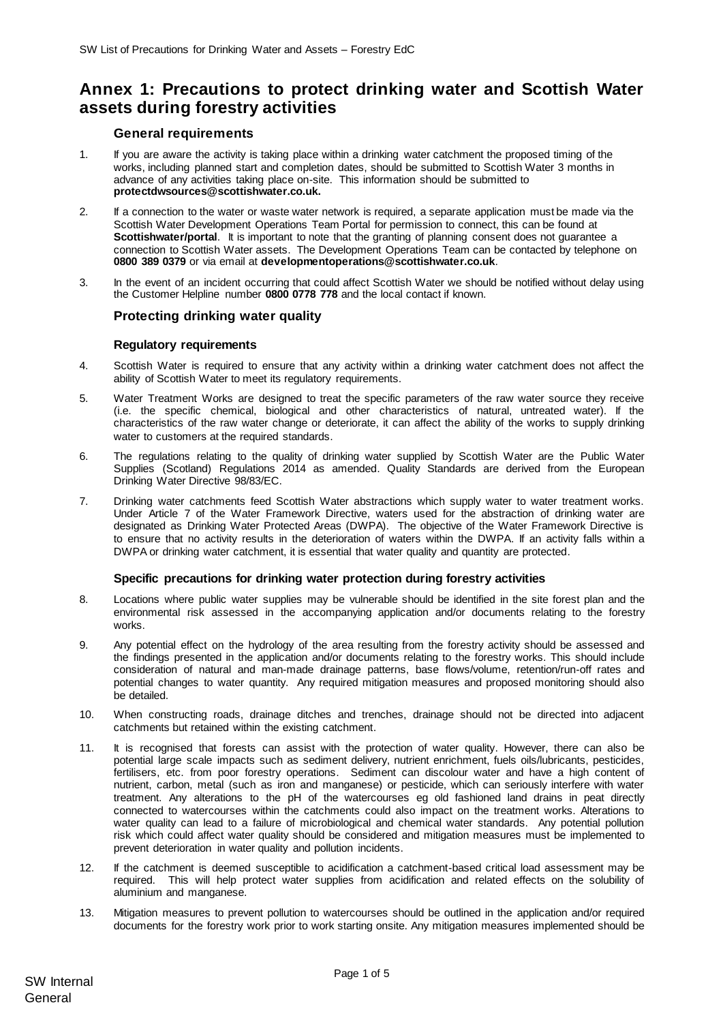# **Annex 1: Precautions to protect drinking water and Scottish Water assets during forestry activities**

# **General requirements**

- 1. If you are aware the activity is taking place within a drinking water catchment the proposed timing of the works, including planned start and completion dates, should be submitted to Scottish Water 3 months in advance of any activities taking place on-site. This information should be submitted to **protectdwsources@scottishwater.co.uk.**
- 2. If a connection to the water or waste water network is required, a separate application must be made via the Scottish Water Development Operations Team Portal for permission to connect, this can be found at **Scottishwater/portal**. It is important to note that the granting of planning consent does not guarantee a connection to Scottish Water assets. The Development Operations Team can be contacted by telephone on **0800 389 0379** or via email at **[developmentoperations@scottishwater.co.uk](mailto:developmentoperations@scottishwater.co.uk)**.
- 3. In the event of an incident occurring that could affect Scottish Water we should be notified without delay using the Customer Helpline number **0800 0778 778** and the local contact if known.

# **Protecting drinking water quality**

### **Regulatory requirements**

- 4. Scottish Water is required to ensure that any activity within a drinking water catchment does not affect the ability of Scottish Water to meet its regulatory requirements.
- 5. Water Treatment Works are designed to treat the specific parameters of the raw water source they receive (i.e. the specific chemical, biological and other characteristics of natural, untreated water). If the characteristics of the raw water change or deteriorate, it can affect the ability of the works to supply drinking water to customers at the required standards.
- 6. The regulations relating to the quality of drinking water supplied by Scottish Water are the Public Water Supplies (Scotland) Regulations 2014 as amended. Quality Standards are derived from the European Drinking Water Directive 98/83/EC.
- 7. Drinking water catchments feed Scottish Water abstractions which supply water to water treatment works. Under Article 7 of the Water Framework Directive, waters used for the abstraction of drinking water are designated as Drinking Water Protected Areas (DWPA). The objective of the Water Framework Directive is to ensure that no activity results in the deterioration of waters within the DWPA. If an activity falls within a DWPA or drinking water catchment, it is essential that water quality and quantity are protected.

# **Specific precautions for drinking water protection during forestry activities**

- 8. Locations where public water supplies may be vulnerable should be identified in the site forest plan and the environmental risk assessed in the accompanying application and/or documents relating to the forestry works.
- 9. Any potential effect on the hydrology of the area resulting from the forestry activity should be assessed and the findings presented in the application and/or documents relating to the forestry works. This should include consideration of natural and man-made drainage patterns, base flows/volume, retention/run-off rates and potential changes to water quantity. Any required mitigation measures and proposed monitoring should also be detailed.
- 10. When constructing roads, drainage ditches and trenches, drainage should not be directed into adjacent catchments but retained within the existing catchment.
- 11. It is recognised that forests can assist with the protection of water quality. However, there can also be potential large scale impacts such as sediment delivery, nutrient enrichment, fuels oils/lubricants, pesticides, fertilisers, etc. from poor forestry operations. Sediment can discolour water and have a high content of nutrient, carbon, metal (such as iron and manganese) or pesticide, which can seriously interfere with water treatment. Any alterations to the pH of the watercourses eg old fashioned land drains in peat directly connected to watercourses within the catchments could also impact on the treatment works. Alterations to water quality can lead to a failure of microbiological and chemical water standards. Any potential pollution risk which could affect water quality should be considered and mitigation measures must be implemented to prevent deterioration in water quality and pollution incidents.
- 12. If the catchment is deemed susceptible to acidification a catchment-based critical load assessment may be required. This will help protect water supplies from acidification and related effects on the solubility of aluminium and manganese.
- 13. Mitigation measures to prevent pollution to watercourses should be outlined in the application and/or required documents for the forestry work prior to work starting onsite. Any mitigation measures implemented should be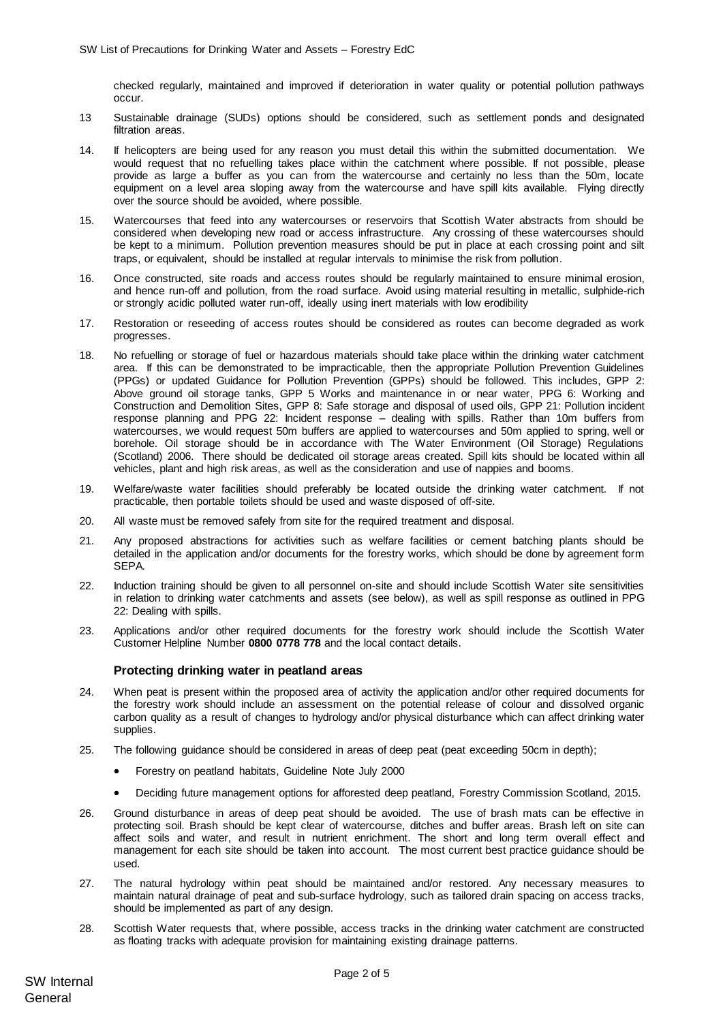checked regularly, maintained and improved if deterioration in water quality or potential pollution pathways occur.

- 13 Sustainable drainage (SUDs) options should be considered, such as settlement ponds and designated filtration areas.
- 14. If helicopters are being used for any reason you must detail this within the submitted documentation. We would request that no refuelling takes place within the catchment where possible. If not possible, please provide as large a buffer as you can from the watercourse and certainly no less than the 50m, locate equipment on a level area sloping away from the watercourse and have spill kits available. Flying directly over the source should be avoided, where possible.
- 15. Watercourses that feed into any watercourses or reservoirs that Scottish Water abstracts from should be considered when developing new road or access infrastructure. Any crossing of these watercourses should be kept to a minimum. Pollution prevention measures should be put in place at each crossing point and silt traps, or equivalent, should be installed at regular intervals to minimise the risk from pollution.
- 16. Once constructed, site roads and access routes should be regularly maintained to ensure minimal erosion, and hence run-off and pollution, from the road surface. Avoid using material resulting in metallic, sulphide-rich or strongly acidic polluted water run-off, ideally using inert materials with low erodibility
- 17. Restoration or reseeding of access routes should be considered as routes can become degraded as work progresses.
- 18. No refuelling or storage of fuel or hazardous materials should take place within the drinking water catchment area. If this can be demonstrated to be impracticable, then the appropriate Pollution Prevention Guidelines (PPGs) or updated Guidance for Pollution Prevention (GPPs) should be followed. This includes, GPP 2: Above ground oil storage tanks, GPP 5 Works and maintenance in or near water, PPG 6: Working and Construction and Demolition Sites, GPP 8: Safe storage and disposal of used oils, GPP 21: Pollution incident response planning and PPG 22: Incident response – dealing with spills. Rather than 10m buffers from watercourses, we would request 50m buffers are applied to watercourses and 50m applied to spring, well or borehole. Oil storage should be in accordance with The Water Environment (Oil Storage) Regulations (Scotland) 2006. There should be dedicated oil storage areas created. Spill kits should be located within all vehicles, plant and high risk areas, as well as the consideration and use of nappies and booms.
- 19. Welfare/waste water facilities should preferably be located outside the drinking water catchment. If not practicable, then portable toilets should be used and waste disposed of off-site.
- 20. All waste must be removed safely from site for the required treatment and disposal.
- 21. Any proposed abstractions for activities such as welfare facilities or cement batching plants should be detailed in the application and/or documents for the forestry works, which should be done by agreement form SEPA.
- 22. Induction training should be given to all personnel on-site and should include Scottish Water site sensitivities in relation to drinking water catchments and assets (see below), as well as spill response as outlined in PPG 22: Dealing with spills.
- 23. Applications and/or other required documents for the forestry work should include the Scottish Water Customer Helpline Number **0800 0778 778** and the local contact details.

#### **Protecting drinking water in peatland areas**

- 24. When peat is present within the proposed area of activity the application and/or other required documents for the forestry work should include an assessment on the potential release of colour and dissolved organic carbon quality as a result of changes to hydrology and/or physical disturbance which can affect drinking water supplies.
- 25. The following guidance should be considered in areas of deep peat (peat exceeding 50cm in depth);
	- Forestry on peatland habitats, Guideline Note July 2000
	- Deciding future management options for afforested deep peatland, Forestry Commission Scotland, 2015.
- 26. Ground disturbance in areas of deep peat should be avoided. The use of brash mats can be effective in protecting soil. Brash should be kept clear of watercourse, ditches and buffer areas. Brash left on site can affect soils and water, and result in nutrient enrichment. The short and long term overall effect and management for each site should be taken into account. The most current best practice guidance should be used.
- 27. The natural hydrology within peat should be maintained and/or restored. Any necessary measures to maintain natural drainage of peat and sub-surface hydrology, such as tailored drain spacing on access tracks, should be implemented as part of any design.
- 28. Scottish Water requests that, where possible, access tracks in the drinking water catchment are constructed as floating tracks with adequate provision for maintaining existing drainage patterns.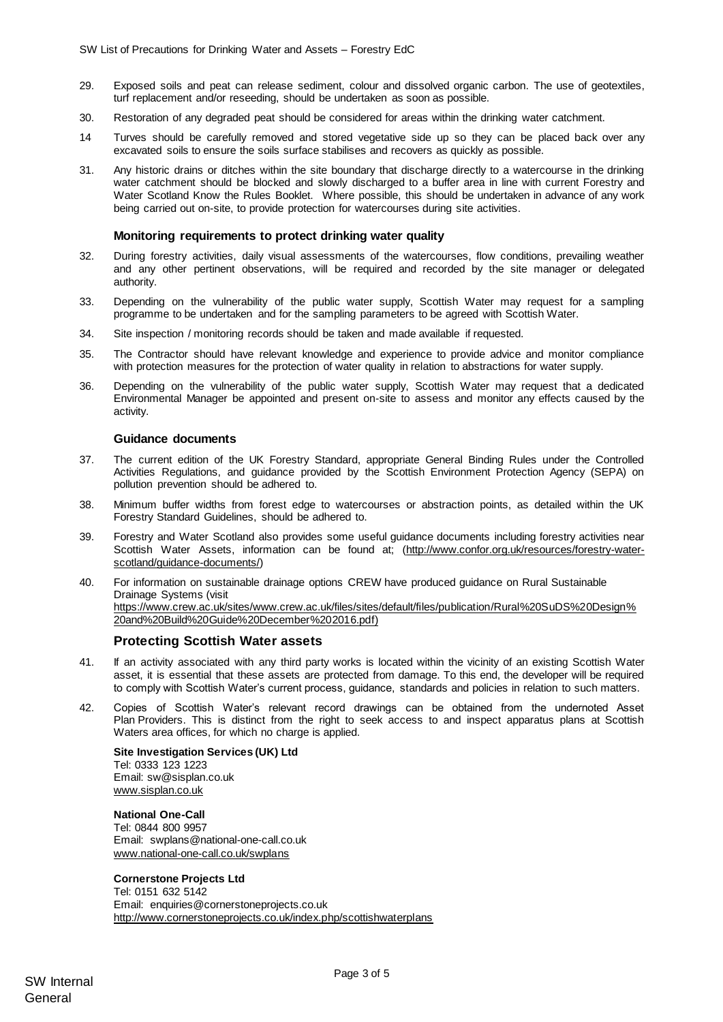- 29. Exposed soils and peat can release sediment, colour and dissolved organic carbon. The use of geotextiles, turf replacement and/or reseeding, should be undertaken as soon as possible.
- 30. Restoration of any degraded peat should be considered for areas within the drinking water catchment.
- 14 Turves should be carefully removed and stored vegetative side up so they can be placed back over any excavated soils to ensure the soils surface stabilises and recovers as quickly as possible.
- 31. Any historic drains or ditches within the site boundary that discharge directly to a watercourse in the drinking water catchment should be blocked and slowly discharged to a buffer area in line with current Forestry and Water Scotland Know the Rules Booklet. Where possible, this should be undertaken in advance of any work being carried out on-site, to provide protection for watercourses during site activities.

#### **Monitoring requirements to protect drinking water quality**

- 32. During forestry activities, daily visual assessments of the watercourses, flow conditions, prevailing weather and any other pertinent observations, will be required and recorded by the site manager or delegated authority.
- 33. Depending on the vulnerability of the public water supply, Scottish Water may request for a sampling programme to be undertaken and for the sampling parameters to be agreed with Scottish Water.
- 34. Site inspection / monitoring records should be taken and made available if requested.
- 35. The Contractor should have relevant knowledge and experience to provide advice and monitor compliance with protection measures for the protection of water quality in relation to abstractions for water supply.
- 36. Depending on the vulnerability of the public water supply, Scottish Water may request that a dedicated Environmental Manager be appointed and present on-site to assess and monitor any effects caused by the activity.

#### **Guidance documents**

- 37. The current edition of the UK Forestry Standard, appropriate General Binding Rules under the Controlled Activities Regulations, and guidance provided by the Scottish Environment Protection Agency (SEPA) on pollution prevention should be adhered to.
- 38. Minimum buffer widths from forest edge to watercourses or abstraction points, as detailed within the UK Forestry Standard Guidelines, should be adhered to.
- 39. Forestry and Water Scotland also provides some useful guidance documents including forestry activities near Scottish Water Assets, information can be found at; [\(http://www.confor.org.uk/resources/forestry-water](http://www.confor.org.uk/resources/forestry-water-scotland/guidance-documents/)[scotland/guidance-documents/\)](http://www.confor.org.uk/resources/forestry-water-scotland/guidance-documents/)
- 40. For information on sustainable drainage options CREW have produced guidance on Rural Sustainable Drainage Systems (visit [https://www.crew.ac.uk/sites/www.crew.ac.uk/files/sites/default/files/publication/Rural%20SuDS%20Design%](https://www.crew.ac.uk/sites/www.crew.ac.uk/files/sites/default/files/publication/Rural%20SuDS%20Design%20and%20Build%20Guide%20December%202016.pdf) [20and%20Build%20Guide%20December%202016.pdf\)](https://www.crew.ac.uk/sites/www.crew.ac.uk/files/sites/default/files/publication/Rural%20SuDS%20Design%20and%20Build%20Guide%20December%202016.pdf)

# **Protecting Scottish Water assets**

- 41. If an activity associated with any third party works is located within the vicinity of an existing Scottish Water asset, it is essential that these assets are protected from damage. To this end, the developer will be required to comply with Scottish Water's current process, guidance, standards and policies in relation to such matters.
- 42. Copies of Scottish Water's relevant record drawings can be obtained from the undernoted Asset Plan Providers. This is distinct from the right to seek access to and inspect apparatus plans at Scottish Waters area offices, for which no charge is applied.

**Site Investigation Services (UK) Ltd** Tel: 0333 123 1223 Email: sw@sisplan.co.uk [www.sisplan.co.uk](http://www.sisplan.co.uk/)

**National One-Call** Tel: 0844 800 9957 Email: swplans@national-one-call.co.uk [www.national-one-call.co.uk/swplans](http://www.national-one-call.co.uk/swplans)

#### **Cornerstone Projects Ltd**

Tel: 0151 632 5142 Email: [enquiries@cornerstoneprojects.co.uk](mailto:enquiries@cornerstoneprojects.co.uk) http://www.cornerstoneprojects.co.uk/index.php/scottishwaterplans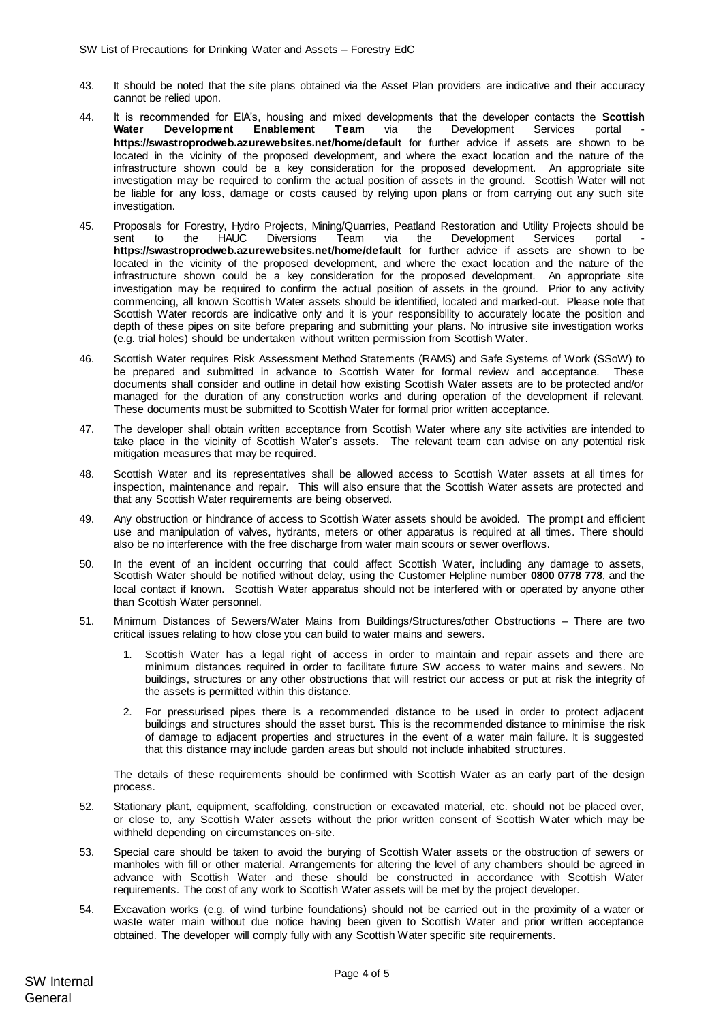- 43. It should be noted that the site plans obtained via the Asset Plan providers are indicative and their accuracy cannot be relied upon.
- 44. It is recommended for EIA's, housing and mixed developments that the developer contacts the **Scottish Water Development Enablement Team** via the Development Services **<https://swastroprodweb.azurewebsites.net/home/default>** for further advice if assets are shown to be located in the vicinity of the proposed development, and where the exact location and the nature of the infrastructure shown could be a key consideration for the proposed development. An appropriate site investigation may be required to confirm the actual position of assets in the ground. Scottish Water will not be liable for any loss, damage or costs caused by relying upon plans or from carrying out any such site investigation.
- 45. Proposals for Forestry, Hydro Projects, Mining/Quarries, Peatland Restoration and Utility Projects should be sent to the HAUC Diversions Team via the Development Services portal **https://swastroprodweb.azurewebsites.net/home/default** for further advice if assets are shown to be located in the vicinity of the proposed development, and where the exact location and the nature of the infrastructure shown could be a key consideration for the proposed development. An appropriate site investigation may be required to confirm the actual position of assets in the ground. Prior to any activity commencing, all known Scottish Water assets should be identified, located and marked-out. Please note that Scottish Water records are indicative only and it is your responsibility to accurately locate the position and depth of these pipes on site before preparing and submitting your plans. No intrusive site investigation works (e.g. trial holes) should be undertaken without written permission from Scottish Water.
- 46. Scottish Water requires Risk Assessment Method Statements (RAMS) and Safe Systems of Work (SSoW) to be prepared and submitted in advance to Scottish Water for formal review and acceptance. These documents shall consider and outline in detail how existing Scottish Water assets are to be protected and/or managed for the duration of any construction works and during operation of the development if relevant. These documents must be submitted to Scottish Water for formal prior written acceptance.
- 47. The developer shall obtain written acceptance from Scottish Water where any site activities are intended to take place in the vicinity of Scottish Water's assets. The relevant team can advise on any potential risk mitigation measures that may be required.
- 48. Scottish Water and its representatives shall be allowed access to Scottish Water assets at all times for inspection, maintenance and repair. This will also ensure that the Scottish Water assets are protected and that any Scottish Water requirements are being observed.
- 49. Any obstruction or hindrance of access to Scottish Water assets should be avoided. The prompt and efficient use and manipulation of valves, hydrants, meters or other apparatus is required at all times. There should also be no interference with the free discharge from water main scours or sewer overflows.
- 50. In the event of an incident occurring that could affect Scottish Water, including any damage to assets, Scottish Water should be notified without delay, using the Customer Helpline number **0800 0778 778**, and the local contact if known. Scottish Water apparatus should not be interfered with or operated by anyone other than Scottish Water personnel.
- 51. Minimum Distances of Sewers/Water Mains from Buildings/Structures/other Obstructions There are two critical issues relating to how close you can build to water mains and sewers.
	- 1. Scottish Water has a legal right of access in order to maintain and repair assets and there are minimum distances required in order to facilitate future SW access to water mains and sewers. No buildings, structures or any other obstructions that will restrict our access or put at risk the integrity of the assets is permitted within this distance.
	- 2. For pressurised pipes there is a recommended distance to be used in order to protect adjacent buildings and structures should the asset burst. This is the recommended distance to minimise the risk of damage to adjacent properties and structures in the event of a water main failure. It is suggested that this distance may include garden areas but should not include inhabited structures.

The details of these requirements should be confirmed with Scottish Water as an early part of the design process.

- 52. Stationary plant, equipment, scaffolding, construction or excavated material, etc. should not be placed over, or close to, any Scottish Water assets without the prior written consent of Scottish Water which may be withheld depending on circumstances on-site.
- 53. Special care should be taken to avoid the burying of Scottish Water assets or the obstruction of sewers or manholes with fill or other material. Arrangements for altering the level of any chambers should be agreed in advance with Scottish Water and these should be constructed in accordance with Scottish Water requirements. The cost of any work to Scottish Water assets will be met by the project developer.
- 54. Excavation works (e.g. of wind turbine foundations) should not be carried out in the proximity of a water or waste water main without due notice having been given to Scottish Water and prior written acceptance obtained. The developer will comply fully with any Scottish Water specific site requirements.